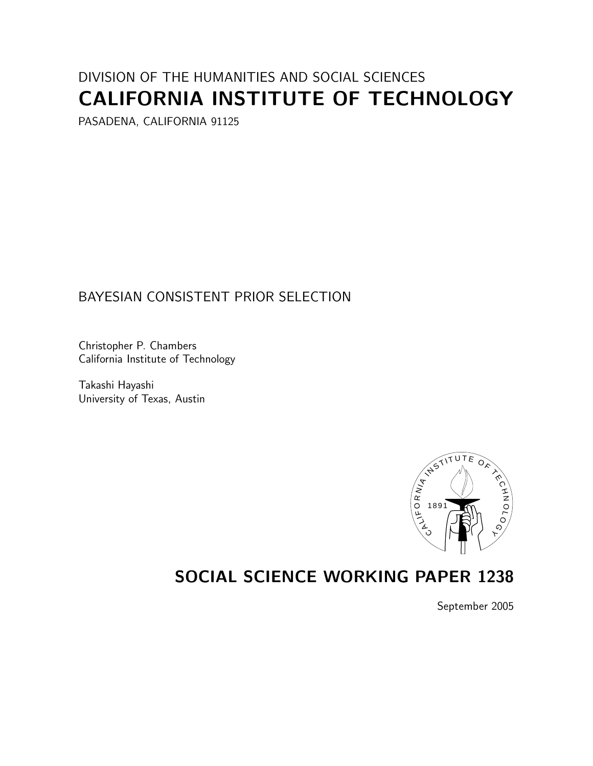# DIVISION OF THE HUMANITIES AND SOCIAL SCIENCES CALIFODNILA INICTITUTE OF TECH **CALIFORNIA INSTITUTE OF TECHNOLOGY**

PASADENA, CALIFORNIA 91125

# BAYESIAN CONSISTENT PRIOR SELECTION

California Institute of Ter California Institute of Technology

Tanashi Hayashi<br>Haiyersity of Te University of Texas, Austria



# **SOCIAL SCIENCE WORKING PAPER 1238**

September 2005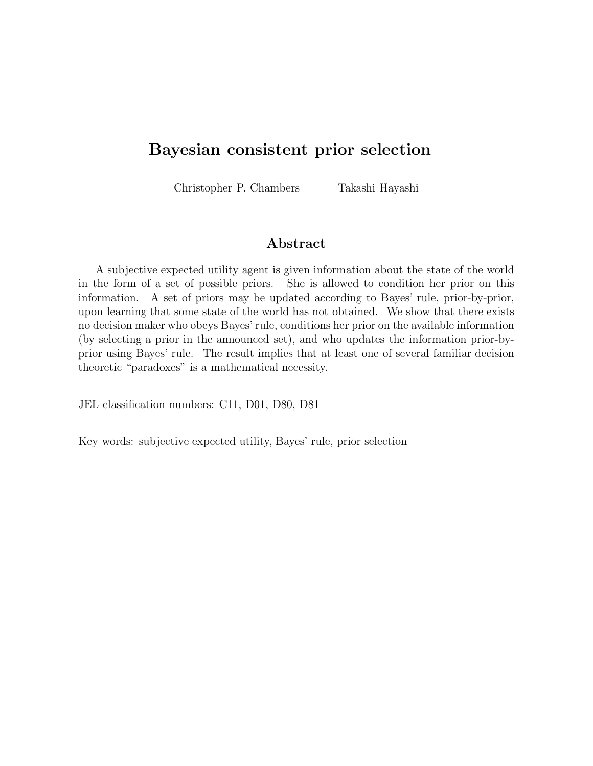# **Bayesian consistent prior selection**

Christopher P. Chambers Takashi Hayashi

#### **Abstract**

A subjective expected utility agent is given information about the state of the world in the form of a set of possible priors. She is allowed to condition her prior on this information. A set of priors may be updated according to Bayes' rule, prior-by-prior, upon learning that some state of the world has not obtained. We show that there exists no decision maker who obeys Bayes' rule, conditions her prior on the available information (by selecting a prior in the announced set), and who updates the information prior-byprior using Bayes' rule. The result implies that at least one of several familiar decision theoretic "paradoxes" is a mathematical necessity.

JEL classification numbers: C11, D01, D80, D81

Key words: subjective expected utility, Bayes' rule, prior selection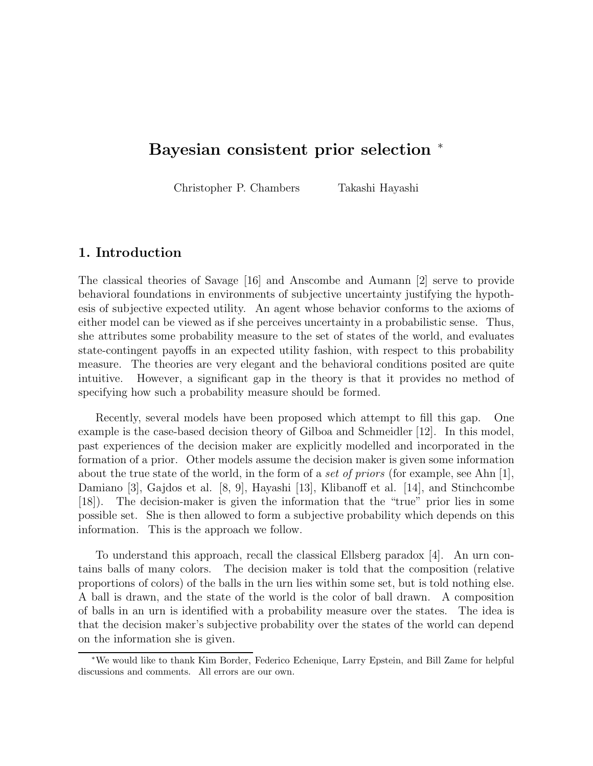# **Bayesian consistent prior selection** <sup>∗</sup>

Christopher P. Chambers Takashi Hayashi

## **1. Introduction**

The classical theories of Savage [16] and Anscombe and Aumann [2] serve to provide behavioral foundations in environments of subjective uncertainty justifying the hypothesis of subjective expected utility. An agent whose behavior conforms to the axioms of either model can be viewed as if she perceives uncertainty in a probabilistic sense. Thus, she attributes some probability measure to the set of states of the world, and evaluates state-contingent payoffs in an expected utility fashion, with respect to this probability measure. The theories are very elegant and the behavioral conditions posited are quite intuitive. However, a significant gap in the theory is that it provides no method of specifying how such a probability measure should be formed.

Recently, several models have been proposed which attempt to fill this gap. One example is the case-based decision theory of Gilboa and Schmeidler [12]. In this model, past experiences of the decision maker are explicitly modelled and incorporated in the formation of a prior. Other models assume the decision maker is given some information about the true state of the world, in the form of a *set of priors* (for example, see Ahn [1], Damiano [3], Gajdos et al. [8, 9], Hayashi [13], Klibanoff et al. [14], and Stinchcombe [18]). The decision-maker is given the information that the "true" prior lies in some possible set. She is then allowed to form a subjective probability which depends on this information. This is the approach we follow.

To understand this approach, recall the classical Ellsberg paradox [4]. An urn contains balls of many colors. The decision maker is told that the composition (relative proportions of colors) of the balls in the urn lies within some set, but is told nothing else. A ball is drawn, and the state of the world is the color of ball drawn. A composition of balls in an urn is identified with a probability measure over the states. The idea is that the decision maker's subjective probability over the states of the world can depend on the information she is given.

<sup>∗</sup>We would like to thank Kim Border, Federico Echenique, Larry Epstein, and Bill Zame for helpful discussions and comments. All errors are our own.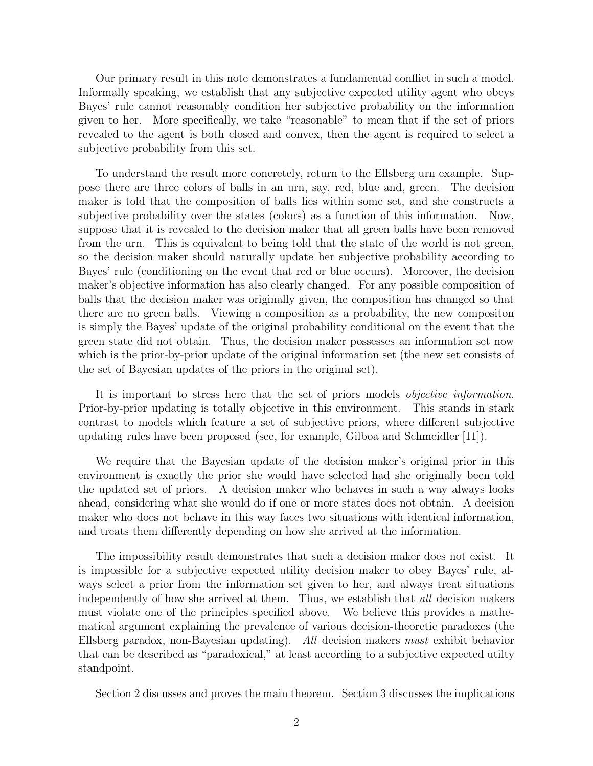Our primary result in this note demonstrates a fundamental conflict in such a model. Informally speaking, we establish that any subjective expected utility agent who obeys Bayes' rule cannot reasonably condition her subjective probability on the information given to her. More specifically, we take "reasonable" to mean that if the set of priors revealed to the agent is both closed and convex, then the agent is required to select a subjective probability from this set.

To understand the result more concretely, return to the Ellsberg urn example. Suppose there are three colors of balls in an urn, say, red, blue and, green. The decision maker is told that the composition of balls lies within some set, and she constructs a subjective probability over the states (colors) as a function of this information. Now, suppose that it is revealed to the decision maker that all green balls have been removed from the urn. This is equivalent to being told that the state of the world is not green, so the decision maker should naturally update her subjective probability according to Bayes' rule (conditioning on the event that red or blue occurs). Moreover, the decision maker's objective information has also clearly changed. For any possible composition of balls that the decision maker was originally given, the composition has changed so that there are no green balls. Viewing a composition as a probability, the new compositon is simply the Bayes' update of the original probability conditional on the event that the green state did not obtain. Thus, the decision maker possesses an information set now which is the prior-by-prior update of the original information set (the new set consists of the set of Bayesian updates of the priors in the original set).

It is important to stress here that the set of priors models *objective information*. Prior-by-prior updating is totally objective in this environment. This stands in stark contrast to models which feature a set of subjective priors, where different subjective updating rules have been proposed (see, for example, Gilboa and Schmeidler [11]).

We require that the Bayesian update of the decision maker's original prior in this environment is exactly the prior she would have selected had she originally been told the updated set of priors. A decision maker who behaves in such a way always looks ahead, considering what she would do if one or more states does not obtain. A decision maker who does not behave in this way faces two situations with identical information, and treats them differently depending on how she arrived at the information.

The impossibility result demonstrates that such a decision maker does not exist. It is impossible for a subjective expected utility decision maker to obey Bayes' rule, always select a prior from the information set given to her, and always treat situations independently of how she arrived at them. Thus, we establish that *all* decision makers must violate one of the principles specified above. We believe this provides a mathematical argument explaining the prevalence of various decision-theoretic paradoxes (the Ellsberg paradox, non-Bayesian updating). *All* decision makers *must* exhibit behavior that can be described as "paradoxical," at least according to a subjective expected utilty standpoint.

Section 2 discusses and proves the main theorem. Section 3 discusses the implications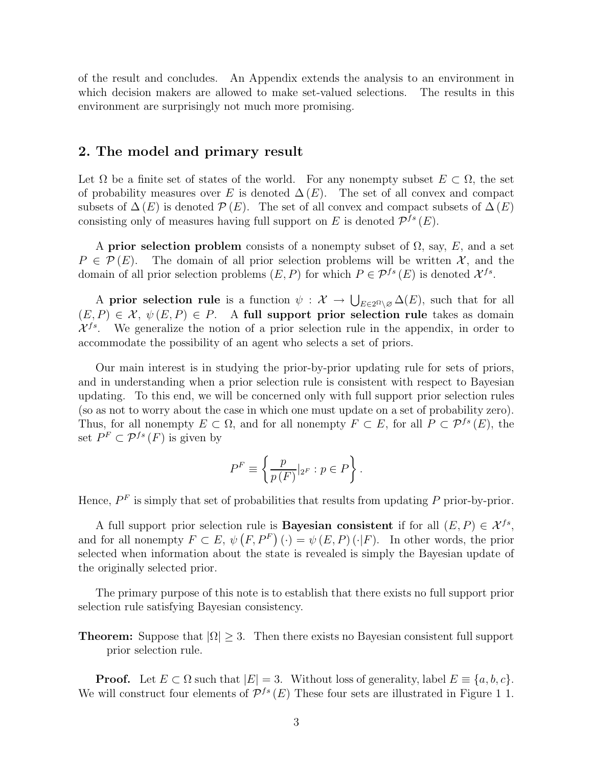of the result and concludes. An Appendix extends the analysis to an environment in which decision makers are allowed to make set-valued selections. The results in this environment are surprisingly not much more promising.

#### **2. The model and primary result**

Let  $\Omega$  be a finite set of states of the world. For any nonempty subset  $E \subset \Omega$ , the set of probability measures over E is denoted  $\Delta(E)$ . The set of all convex and compact subsets of  $\Delta(E)$  is denoted  $\mathcal{P}(E)$ . The set of all convex and compact subsets of  $\Delta(E)$ consisting only of measures having full support on E is denoted  $\mathcal{P}^{fs}(E)$ .

A **prior selection problem** consists of a nonempty subset of  $\Omega$ , say, E, and a set  $P \in \mathcal{P}(E)$ . The domain of all prior selection problems will be written X, and the domain of all prior selection problems  $(E, P)$  for which  $P \in \mathcal{P}^{fs}(E)$  is denoted  $\mathcal{X}^{fs}$ .

A **prior selection rule** is a function  $\psi: \mathcal{X} \to \bigcup_{E \in 2^{\Omega} \setminus \mathcal{O}} \Delta(E)$ , such that for all  $(E, P) \in \mathcal{X}, \ \psi(E, P) \in P$ . A full support prior selection rule takes as domain  $\mathcal{X}^{fs}$ . We generalize the notion of a prior selection rule in the appendix, in order to accommodate the possibility of an agent who selects a set of priors.

Our main interest is in studying the prior-by-prior updating rule for sets of priors, and in understanding when a prior selection rule is consistent with respect to Bayesian updating. To this end, we will be concerned only with full support prior selection rules (so as not to worry about the case in which one must update on a set of probability zero). Thus, for all nonempty  $E \subset \Omega$ , and for all nonempty  $F \subset E$ , for all  $P \subset \mathcal{P}^{fs}(E)$ , the set  $P^F \subset \mathcal{P}^{fs}(F)$  is given by

$$
P^{F} \equiv \left\{ \frac{p}{p(F)} \vert_{2^{F}} : p \in P \right\}.
$$

Hence,  $P<sup>F</sup>$  is simply that set of probabilities that results from updating P prior-by-prior.

A full support prior selection rule is **Bayesian consistent** if for all  $(E, P) \in \mathcal{X}^{fs}$ , and for all nonempty  $F \subset E$ ,  $\psi(F, P^F) (\cdot) = \psi(E, P) (\cdot | F)$ . In other words, the prior selected when information about the state is revealed is simply the Bayesian update of the originally selected prior.

The primary purpose of this note is to establish that there exists no full support prior selection rule satisfying Bayesian consistency.

**Theorem:** Suppose that  $|\Omega| \geq 3$ . Then there exists no Bayesian consistent full support prior selection rule.

**Proof.** Let  $E \subset \Omega$  such that  $|E| = 3$ . Without loss of generality, label  $E \equiv \{a, b, c\}$ . We will construct four elements of  $\mathcal{P}^{fs}(E)$  These four sets are illustrated in Figure 1 1.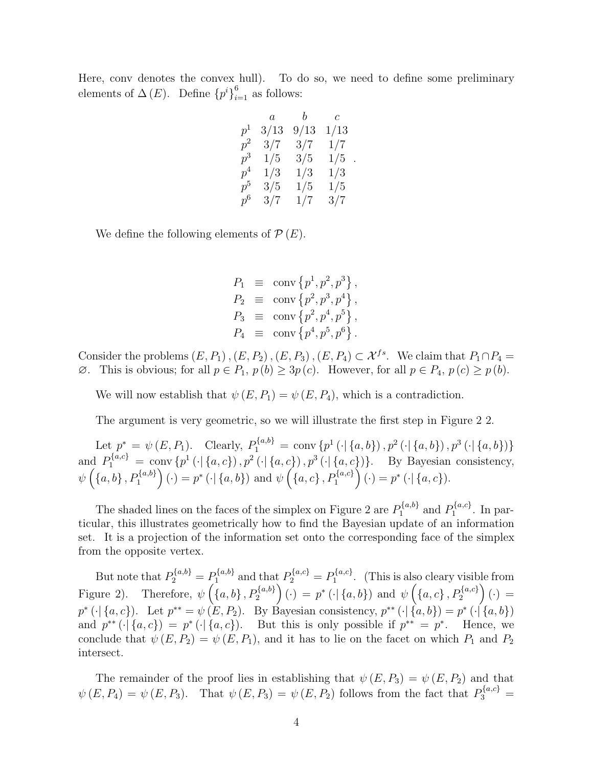Here, conv denotes the convex hull). To do so, we need to define some preliminary elements of  $\Delta(E)$ . Define  ${p<sup>i</sup>}_{i=1}^{6}$  as follows:

|       | $\it a$ | $\mathfrak{b}$ | $\mathcal{C}$ |
|-------|---------|----------------|---------------|
| $p^1$ | 3/13    | 9/13           | 1/13          |
| $p^2$ | 3/7     | 3/7            | 1/7           |
| $p^3$ | 1/5     | 3/5            | 1/5           |
| $p^4$ | 1/3     | 1/3            | 1/3           |
| $p^5$ | 3/5     | 1/5            | 1/5           |
| $p^6$ | 3/7     | 1/7            | 3/7           |

.

We define the following elements of  $\mathcal{P}(E)$ .

$$
P_1 \equiv \text{conv} \{p^1, p^2, p^3\},
$$
  
\n
$$
P_2 \equiv \text{conv} \{p^2, p^3, p^4\},
$$
  
\n
$$
P_3 \equiv \text{conv} \{p^2, p^4, p^5\},
$$
  
\n
$$
P_4 \equiv \text{conv} \{p^4, p^5, p^6\}.
$$

Consider the problems  $(E,P_1)$ ,  $(E,P_2)$ ,  $(E,P_3)$ ,  $(E,P_4) \subset \mathcal{X}^{fs}$ . We claim that  $P_1 \cap P_4$  $\emptyset$ . This is obvious; for all  $p \in P_1$ ,  $p(b) \ge 3p(c)$ . However, for all  $p \in P_4$ ,  $p(c) \ge p(b)$ .

We will now establish that  $\psi(E, P_1) = \psi(E, P_4)$ , which is a contradiction.

The argument is very geometric, so we will illustrate the first step in Figure 2 2.

Let  $p^* = \psi(E, P_1)$ . Clearly,  $P_1^{\{a,b\}} = \text{conv} \{p^1(\cdot | \{a,b\}), p^2(\cdot | \{a,b\}), p^3(\cdot | \{a,b\})\}$ and  $P_1^{\{a,c\}} = \text{conv} \{p^1(\cdot | \{a,c\}), p^2(\cdot | \{a,c\}), p^3(\cdot | \{a,c\})\}.$  By Bayesian consistency,  $\psi\left(\left\{a,b\right\},P_{1}^{\left\{a,b\right\}}\right)(\cdot)=p^{*}\left(\cdot\right|\left\{a,b\right\}\right) \text{ and }\psi\left(\left\{a,c\right\},P_{1}^{\left\{a,c\right\}}\right)(\cdot)=p^{*}\left(\cdot\right|\left\{a,c\right\}).$ 

The shaded lines on the faces of the simplex on Figure 2 are  $P_1^{\{a,b\}}$  and  $P_1^{\{a,c\}}$ . In particular, this illustrates geometrically how to find the Bayesian update of an information set. It is a projection of the information set onto the corresponding face of the simplex from the opposite vertex.

But note that  $P_2^{\{a,b\}} = P_1^{\{a,b\}}$  and that  $P_2^{\{a,c\}} = P_1^{\{a,c\}}$ . (This is also cleary visible from Figure 2). Therefore,  $\psi\left(\{a, b\}, P_2^{\{a, b\}}\right) (\cdot) = p^* (\cdot | \{a, b\})$  and  $\psi\left(\{a, c\}, P_2^{\{a, c\}}\right) (\cdot) =$  $p^* (\cdot | \{a, c\})$ . Let  $p^{**} = \psi (E, P_2)$ . By Bayesian consistency,  $p^{**} (\cdot | \{a, b\}) = p^* (\cdot | \{a, b\})$ and  $p^{**}(\cdot | \{a, c\}) = p^*(\cdot | \{a, c\})$ . But this is only possible if  $p^{**} = p^*$ . Hence, we conclude that  $\psi(E,P_2) = \psi(E,P_1)$ , and it has to lie on the facet on which  $P_1$  and  $P_2$ intersect.

The remainder of the proof lies in establishing that  $\psi(E,P_3) = \psi(E,P_2)$  and that  $\psi(E, P_4) = \psi(E, P_3)$ . That  $\psi(E, P_3) = \psi(E, P_2)$  follows from the fact that  $P_3^{\{a,c\}} =$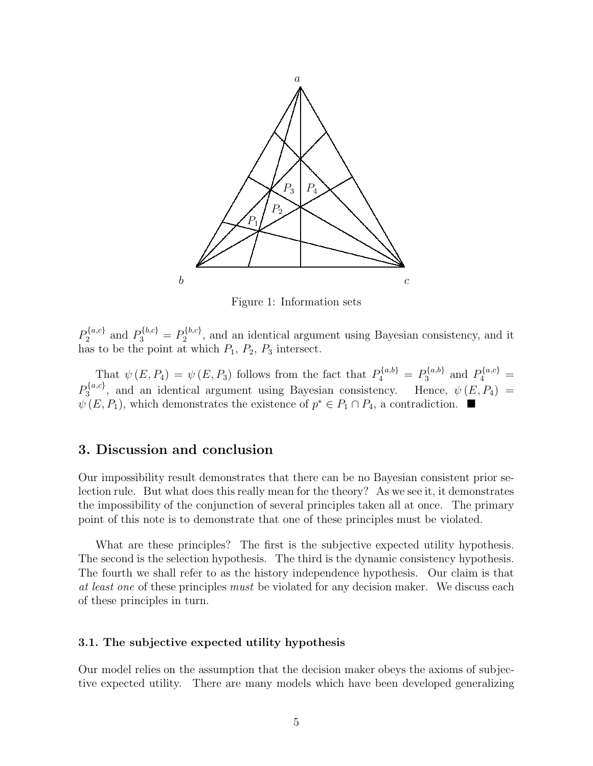

Figure 1: Information sets

 $P_2^{\{a,c\}}$  and  $P_3^{\{b,c\}} = P_2^{\{b,c\}}$ , and an identical argument using Bayesian consistency, and it has to be the point at which  $P_1$ ,  $P_2$ ,  $P_3$  intersect.

That  $\psi(E, P_4) = \psi(E, P_3)$  follows from the fact that  $P_4^{\{a, b\}} = P_3^{\{a, b\}}$  and  $P_4^{\{a, c\}} =$  $P_3^{\{a,c\}}$ , and an identical argument using Bayesian consistency. Hence,  $\psi(E, P_4)$  =  $\psi(E,P_1)$ , which demonstrates the existence of  $p^* \in P_1 \cap P_4$ , a contradiction.  $\blacksquare$ 

#### **3. Discussion and conclusion**

Our impossibility result demonstrates that there can be no Bayesian consistent prior selection rule. But what does this really mean for the theory? As we see it, it demonstrates the impossibility of the conjunction of several principles taken all at once. The primary point of this note is to demonstrate that one of these principles must be violated.

What are these principles? The first is the subjective expected utility hypothesis. The second is the selection hypothesis. The third is the dynamic consistency hypothesis. The fourth we shall refer to as the history independence hypothesis. Our claim is that *at least one* of these principles *must* be violated for any decision maker. We discuss each of these principles in turn.

#### **3.1. The subjective expected utility hypothesis**

Our model relies on the assumption that the decision maker obeys the axioms of subjective expected utility. There are many models which have been developed generalizing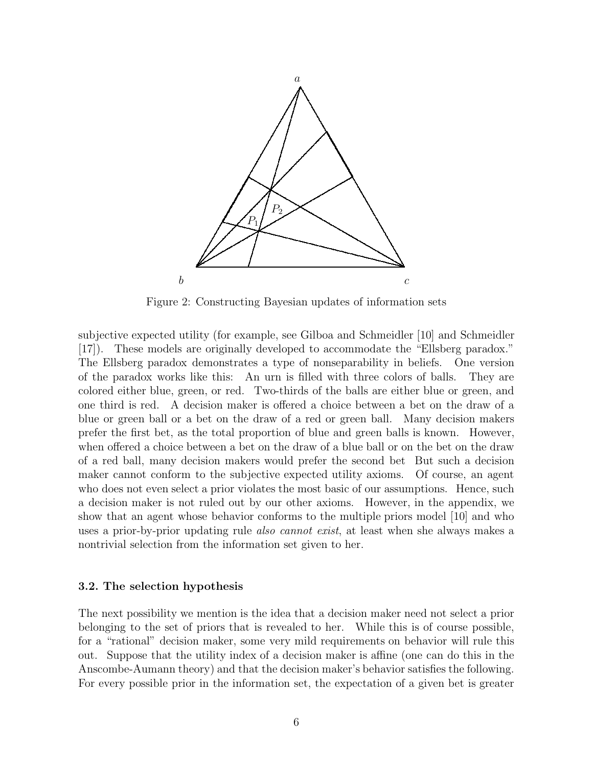

Figure 2: Constructing Bayesian updates of information sets

subjective expected utility (for example, see Gilboa and Schmeidler [10] and Schmeidler [17]). These models are originally developed to accommodate the "Ellsberg paradox." The Ellsberg paradox demonstrates a type of nonseparability in beliefs. One version of the paradox works like this: An urn is filled with three colors of balls. They are colored either blue, green, or red. Two-thirds of the balls are either blue or green, and one third is red. A decision maker is offered a choice between a bet on the draw of a blue or green ball or a bet on the draw of a red or green ball. Many decision makers prefer the first bet, as the total proportion of blue and green balls is known. However, when offered a choice between a bet on the draw of a blue ball or on the bet on the draw of a red ball, many decision makers would prefer the second bet But such a decision maker cannot conform to the subjective expected utility axioms. Of course, an agent who does not even select a prior violates the most basic of our assumptions. Hence, such a decision maker is not ruled out by our other axioms. However, in the appendix, we show that an agent whose behavior conforms to the multiple priors model [10] and who uses a prior-by-prior updating rule *also cannot exist*, at least when she always makes a nontrivial selection from the information set given to her.

#### **3.2. The selection hypothesis**

The next possibility we mention is the idea that a decision maker need not select a prior belonging to the set of priors that is revealed to her. While this is of course possible, for a "rational" decision maker, some very mild requirements on behavior will rule this out. Suppose that the utility index of a decision maker is affine (one can do this in the Anscombe-Aumann theory) and that the decision maker's behavior satisfies the following. For every possible prior in the information set, the expectation of a given bet is greater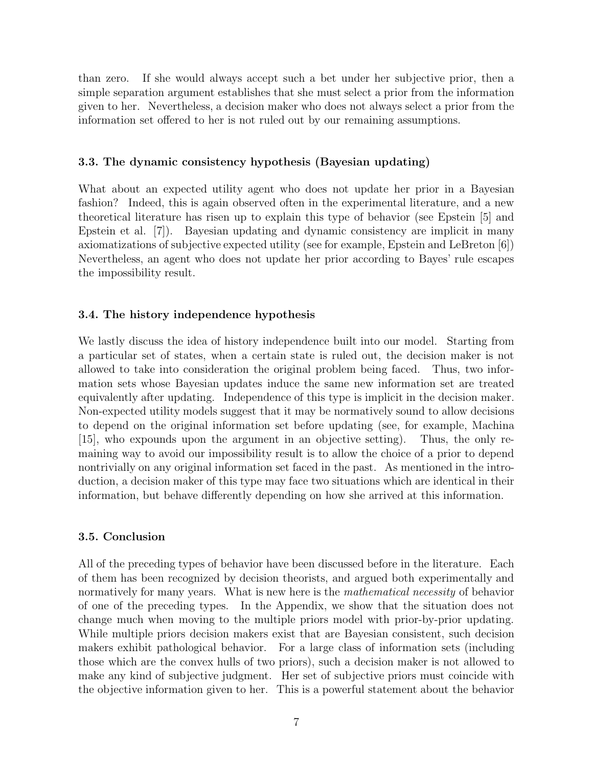than zero. If she would always accept such a bet under her subjective prior, then a simple separation argument establishes that she must select a prior from the information given to her. Nevertheless, a decision maker who does not always select a prior from the information set offered to her is not ruled out by our remaining assumptions.

#### **3.3. The dynamic consistency hypothesis (Bayesian updating)**

What about an expected utility agent who does not update her prior in a Bayesian fashion? Indeed, this is again observed often in the experimental literature, and a new theoretical literature has risen up to explain this type of behavior (see Epstein [5] and Epstein et al. [7]). Bayesian updating and dynamic consistency are implicit in many axiomatizations of subjective expected utility (see for example, Epstein and LeBreton [6]) Nevertheless, an agent who does not update her prior according to Bayes' rule escapes the impossibility result.

#### **3.4. The history independence hypothesis**

We lastly discuss the idea of history independence built into our model. Starting from a particular set of states, when a certain state is ruled out, the decision maker is not allowed to take into consideration the original problem being faced. Thus, two information sets whose Bayesian updates induce the same new information set are treated equivalently after updating. Independence of this type is implicit in the decision maker. Non-expected utility models suggest that it may be normatively sound to allow decisions to depend on the original information set before updating (see, for example, Machina [15], who expounds upon the argument in an objective setting). Thus, the only remaining way to avoid our impossibility result is to allow the choice of a prior to depend nontrivially on any original information set faced in the past. As mentioned in the introduction, a decision maker of this type may face two situations which are identical in their information, but behave differently depending on how she arrived at this information.

#### **3.5. Conclusion**

All of the preceding types of behavior have been discussed before in the literature. Each of them has been recognized by decision theorists, and argued both experimentally and normatively for many years. What is new here is the *mathematical necessity* of behavior of one of the preceding types. In the Appendix, we show that the situation does not change much when moving to the multiple priors model with prior-by-prior updating. While multiple priors decision makers exist that are Bayesian consistent, such decision makers exhibit pathological behavior. For a large class of information sets (including those which are the convex hulls of two priors), such a decision maker is not allowed to make any kind of subjective judgment. Her set of subjective priors must coincide with the objective information given to her. This is a powerful statement about the behavior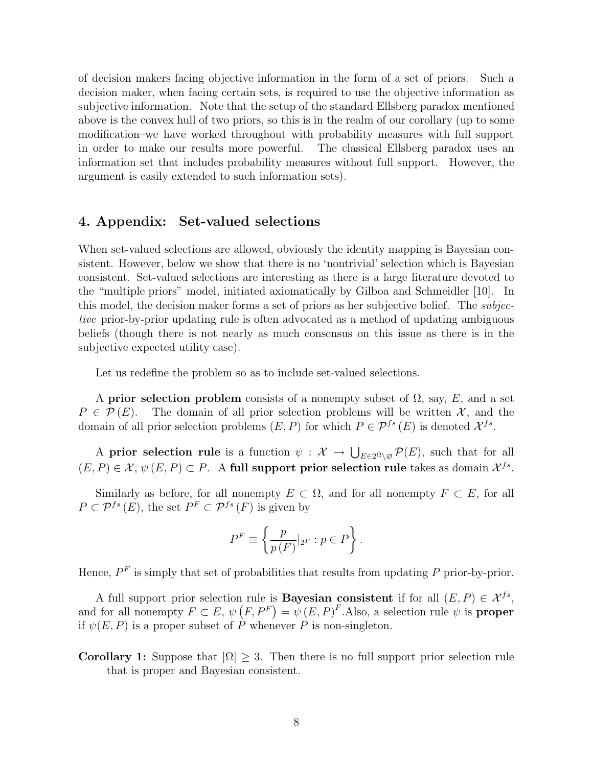of decision makers facing objective information in the form of a set of priors. Such a decision maker, when facing certain sets, is required to use the objective information as subjective information. Note that the setup of the standard Ellsberg paradox mentioned above is the convex hull of two priors, so this is in the realm of our corollary (up to some modification–we have worked throughout with probability measures with full support in order to make our results more powerful. The classical Ellsberg paradox uses an information set that includes probability measures without full support. However, the argument is easily extended to such information sets).

#### **4. Appendix: Set-valued selections**

When set-valued selections are allowed, obviously the identity mapping is Bayesian consistent. However, below we show that there is no 'nontrivial' selection which is Bayesian consistent. Set-valued selections are interesting as there is a large literature devoted to the "multiple priors" model, initiated axiomatically by Gilboa and Schmeidler [10]. In this model, the decision maker forms a set of priors as her subjective belief. The *subjective* prior-by-prior updating rule is often advocated as a method of updating ambiguous beliefs (though there is not nearly as much consensus on this issue as there is in the subjective expected utility case).

Let us redefine the problem so as to include set-valued selections.

A **prior selection problem** consists of a nonempty subset of  $\Omega$ , say, E, and a set  $P \in \mathcal{P}(E)$ . The domain of all prior selection problems will be written X, and the domain of all prior selection problems  $(E, P)$  for which  $P \in \mathcal{P}^{fs}(E)$  is denoted  $\mathcal{X}^{fs}$ .

A **prior selection rule** is a function  $\psi: \mathcal{X} \to \bigcup_{E \in 2^{\Omega} \setminus \mathcal{O}} \mathcal{P}(E)$ , such that for all  $(E, P) \in \mathcal{X}, \psi(E, P) \subset P$ . A full support prior selection rule takes as domain  $\mathcal{X}^{fs}$ .

Similarly as before, for all nonempty  $E \subset \Omega$ , and for all nonempty  $F \subset E$ , for all  $P \subset \mathcal{P}^{fs}(E)$ , the set  $P^F \subset \mathcal{P}^{fs}(F)$  is given by

$$
P^{F} \equiv \left\{ \frac{p}{p(F)} \vert_{2^{F}} : p \in P \right\}.
$$

Hence,  $P<sup>F</sup>$  is simply that set of probabilities that results from updating P prior-by-prior.

A full support prior selection rule is **Bayesian consistent** if for all  $(E, P) \in \mathcal{X}^{fs}$ , and for all nonempty  $F \subset E$ ,  $\psi(F, P^F) = \psi(E, P)^F$ . Also, a selection rule  $\psi$  is **proper** if  $\psi(E, P)$  is a proper subset of P whenever P is non-singleton.

**Corollary 1:** Suppose that  $|\Omega| > 3$ . Then there is no full support prior selection rule that is proper and Bayesian consistent.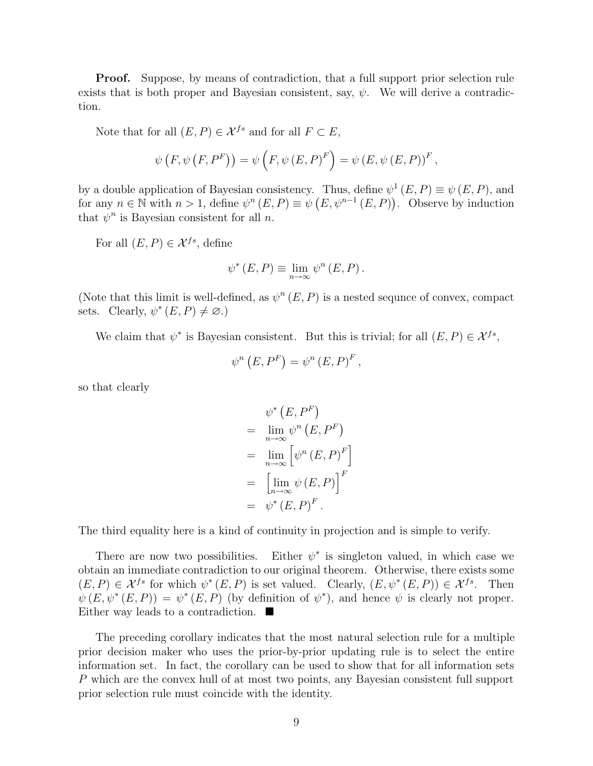**Proof.** Suppose, by means of contradiction, that a full support prior selection rule exists that is both proper and Bayesian consistent, say,  $\psi$ . We will derive a contradiction.

Note that for all  $(E, P) \in \mathcal{X}^{fs}$  and for all  $F \subset E$ ,

$$
\psi(F, \psi(F, P^F)) = \psi(F, \psi(E, P)^F) = \psi(E, \psi(E, P))^F,
$$

by a double application of Bayesian consistency. Thus, define  $\psi^1(E,P) \equiv \psi(E,P)$ , and for any  $n \in \mathbb{N}$  with  $n > 1$ , define  $\psi^n(E, P) \equiv \psi(E, \psi^{n-1}(E, P))$ . Observe by induction that  $\psi^n$  is Bayesian consistent for all *n*.

For all  $(E, P) \in \mathcal{X}^{fs}$ , define

$$
\psi^*(E, P) \equiv \lim_{n \to \infty} \psi^n(E, P).
$$

(Note that this limit is well-defined, as  $\psi^n(E,P)$  is a nested sequnce of convex, compact sets. Clearly,  $\psi^*(E, P) \neq \emptyset$ .)

We claim that  $\psi^*$  is Bayesian consistent. But this is trivial; for all  $(E, P) \in \mathcal{X}^{fs}$ ,

$$
\psi^{n}\left(E,P^{F}\right)=\psi^{n}\left(E,P\right)^{F},
$$

so that clearly

$$
\psi^* (E, P^F)
$$
  
=  $\lim_{n \to \infty} \psi^n (E, P^F)$   
=  $\lim_{n \to \infty} [\psi^n (E, P)^F]$   
=  $\left[ \lim_{n \to \infty} \psi (E, P) \right]^F$   
=  $\psi^* (E, P)^F$ .

The third equality here is a kind of continuity in projection and is simple to verify.

There are now two possibilities. Either  $\psi^*$  is singleton valued, in which case we obtain an immediate contradiction to our original theorem. Otherwise, there exists some  $(E, P) \in \mathcal{X}^{fs}$  for which  $\psi^*(E, P)$  is set valued. Clearly,  $(E, \psi^*(E, P)) \in \mathcal{X}^{fs}$ . Then  $\psi(E, \psi^*(E, P)) = \psi^*(E, P)$  (by definition of  $\psi^*$ ), and hence  $\psi$  is clearly not proper. Either way leads to a contradiction.  $\blacksquare$ 

The preceding corollary indicates that the most natural selection rule for a multiple prior decision maker who uses the prior-by-prior updating rule is to select the entire information set. In fact, the corollary can be used to show that for all information sets P which are the convex hull of at most two points, any Bayesian consistent full support prior selection rule must coincide with the identity.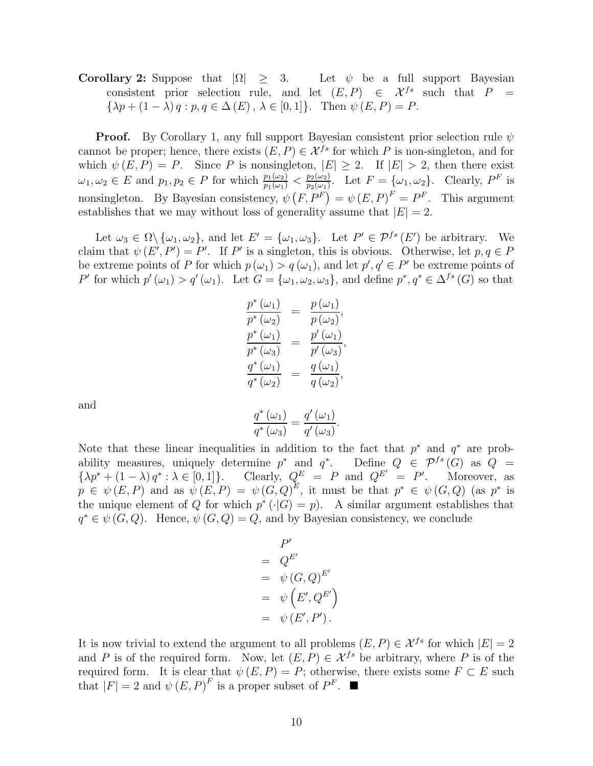# **Corollary 2:** Suppose that  $|\Omega| \geq 3$ . Let  $\psi$  be a full support Bayesian consistent prior selection rule, and let  $(E, P) \in \mathcal{X}^{fs}$  such that  $P =$  $\{\lambda p + (1 - \lambda) q : p, q \in \Delta(E), \lambda \in [0, 1]\}.$  Then  $\psi(E, P) = P$ .

**Proof.** By Corollary 1, any full support Bayesian consistent prior selection rule  $\psi$ cannot be proper; hence, there exists  $(E, P) \in \mathcal{X}^{fs}$  for which P is non-singleton, and for which  $\psi(E, P) = P$ . Since P is nonsingleton,  $|E| \geq 2$ . If  $|E| > 2$ , then there exist  $\omega_1, \omega_2 \in E$  and  $p_1, p_2 \in P$  for which  $\frac{p_1(\omega_2)}{p_1(\omega_1)} < \frac{p_2(\omega_2)}{p_2(\omega_1)}$ . Let  $F = {\omega_1, \omega_2}$ . Clearly,  $P^F$  is nonsingleton. By Bayesian consistency,  $\psi(F, P^F) = \psi(E, P)^F = P^F$ . This argument establishes that we may without loss of generality assume that  $|E| = 2$ .

Let  $\omega_3 \in \Omega \setminus {\omega_1, \omega_2}$ , and let  $E' = {\omega_1, \omega_3}$ . Let  $P' \in \mathcal{P}^{fs}(E')$  be arbitrary. We claim that  $\psi(E', P') = P'$ . If P' is a singleton, this is obvious. Otherwise, let  $p, q \in P$ be extreme points of P for which  $p(\omega_1) > q(\omega_1)$ , and let  $p', q' \in P'$  be extreme points of P' for which  $p'(\omega_1) > q'(\omega_1)$ . Let  $G = {\omega_1, \omega_2, \omega_3}$ , and define  $p^*, q^* \in \Delta^{fs}(G)$  so that

$$
\frac{p^*(\omega_1)}{p^*(\omega_2)} = \frac{p(\omega_1)}{p(\omega_2)},
$$
  

$$
\frac{p^*(\omega_1)}{p^*(\omega_3)} = \frac{p'(\omega_1)}{p'(\omega_3)},
$$
  

$$
\frac{q^*(\omega_1)}{q^*(\omega_2)} = \frac{q(\omega_1)}{q(\omega_2)},
$$

and

$$
\frac{q^{\ast}\left(\omega_{1}\right)}{q^{\ast}\left(\omega_{3}\right)}=\frac{q^{\prime}\left(\omega_{1}\right)}{q^{\prime}\left(\omega_{3}\right)}.
$$

Note that these linear inequalities in addition to the fact that  $p^*$  and  $q^*$  are probability measures, uniquely determine  $p^*$  and  $q^*$ . Define  $Q \in \mathcal{P}^{fs}(G)$  as  $Q =$  $\{\lambda p^* + (1-\lambda) q^* : \lambda \in [0,1]\}.$  Clearly,  $Q^E = P$  and  $Q^{E'} = P'$ . Moreover, as  $p \in \psi(E, P)$  and as  $\psi(E, P) = \psi(G, Q)^E$ , it must be that  $p^* \in \psi(G, Q)$  (as  $p^*$  is the unique element of Q for which  $p^*(\cdot|G) = p$ . A similar argument establishes that  $q^* \in \psi(G, Q)$ . Hence,  $\psi(G, Q) = Q$ , and by Bayesian consistency, we conclude

$$
P' = Q^{E'}\n= \psi (G, Q)^{E'}\n= \psi (E', Q^{E'})\n= \psi (E', P').
$$

It is now trivial to extend the argument to all problems  $(E, P) \in \mathcal{X}^{fs}$  for which  $|E| = 2$ and P is of the required form. Now, let  $(E, P) \in \mathcal{X}^{fs}$  be arbitrary, where P is of the required form. It is clear that  $\psi(E, P) = P$ ; otherwise, there exists some  $F \subset E$  such that  $|F| = 2$  and  $\psi(E, P)^F$  is a proper subset of  $P^F$ .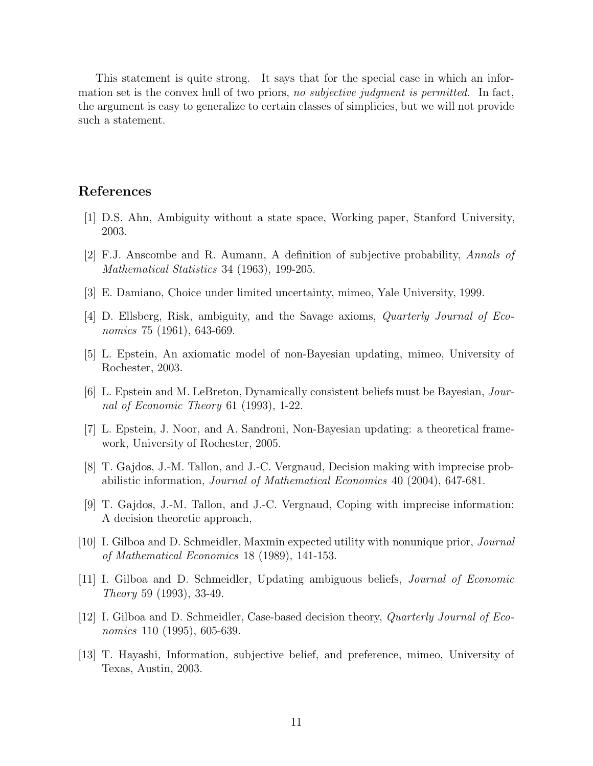This statement is quite strong. It says that for the special case in which an information set is the convex hull of two priors, *no subjective judgment is permitted*. In fact, the argument is easy to generalize to certain classes of simplicies, but we will not provide such a statement.

# **References**

- [1] D.S. Ahn, Ambiguity without a state space, Working paper, Stanford University, 2003.
- [2] F.J. Anscombe and R. Aumann, A definition of subjective probability, *Annals of Mathematical Statistics* 34 (1963), 199-205.
- [3] E. Damiano, Choice under limited uncertainty, mimeo, Yale University, 1999.
- [4] D. Ellsberg, Risk, ambiguity, and the Savage axioms, *Quarterly Journal of Economics* 75 (1961), 643-669.
- [5] L. Epstein, An axiomatic model of non-Bayesian updating, mimeo, University of Rochester, 2003.
- [6] L. Epstein and M. LeBreton, Dynamically consistent beliefs must be Bayesian, *Journal of Economic Theory* 61 (1993), 1-22.
- [7] L. Epstein, J. Noor, and A. Sandroni, Non-Bayesian updating: a theoretical framework, University of Rochester, 2005.
- [8] T. Gajdos, J.-M. Tallon, and J.-C. Vergnaud, Decision making with imprecise probabilistic information, *Journal of Mathematical Economics* 40 (2004), 647-681.
- [9] T. Gajdos, J.-M. Tallon, and J.-C. Vergnaud, Coping with imprecise information: A decision theoretic approach,
- [10] I. Gilboa and D. Schmeidler, Maxmin expected utility with nonunique prior, *Journal of Mathematical Economics* 18 (1989), 141-153.
- [11] I. Gilboa and D. Schmeidler, Updating ambiguous beliefs, *Journal of Economic Theory* 59 (1993), 33-49.
- [12] I. Gilboa and D. Schmeidler, Case-based decision theory, *Quarterly Journal of Economics* 110 (1995), 605-639.
- [13] T. Hayashi, Information, subjective belief, and preference, mimeo, University of Texas, Austin, 2003.